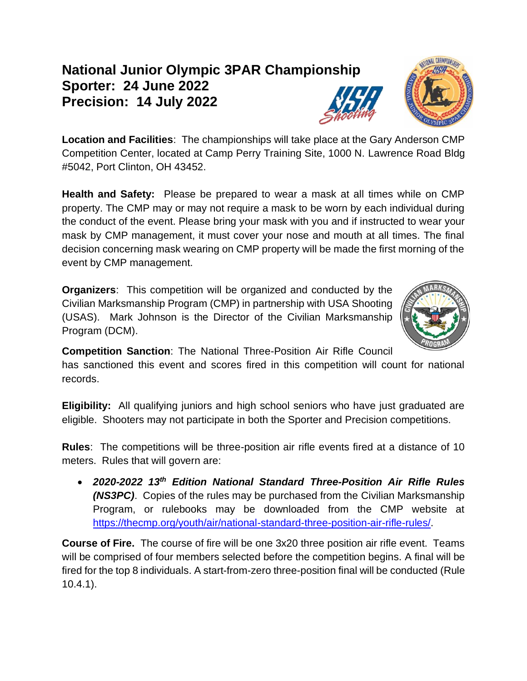## **National Junior Olympic 3PAR Championship Sporter: 24 June 2022 Precision: 14 July 2022**

**Location and Facilities**: The championships will take place at the Gary Anderson CMP Competition Center, located at Camp Perry Training Site, 1000 N. Lawrence Road Bldg #5042, Port Clinton, OH 43452.

**Health and Safety:** Please be prepared to wear a mask at all times while on CMP property. The CMP may or may not require a mask to be worn by each individual during the conduct of the event. Please bring your mask with you and if instructed to wear your mask by CMP management, it must cover your nose and mouth at all times. The final decision concerning mask wearing on CMP property will be made the first morning of the event by CMP management.

**Organizers**: This competition will be organized and conducted by the Civilian Marksmanship Program (CMP) in partnership with USA Shooting (USAS). Mark Johnson is the Director of the Civilian Marksmanship Program (DCM).

**Competition Sanction**: The National Three-Position Air Rifle Council

has sanctioned this event and scores fired in this competition will count for national records.

**Eligibility:** All qualifying juniors and high school seniors who have just graduated are eligible. Shooters may not participate in both the Sporter and Precision competitions.

**Rules**: The competitions will be three-position air rifle events fired at a distance of 10 meters. Rules that will govern are:

• *2020-2022 13 th Edition National Standard Three-Position Air Rifle Rules (NS3PC)*. Copies of the rules may be purchased from the Civilian Marksmanship Program, or rulebooks may be downloaded from the CMP website at [https://thecmp.org/youth/air/national-standard-three-position-air-rifle-rules/.](https://thecmp.org/youth/air/national-standard-three-position-air-rifle-rules/)

**Course of Fire.** The course of fire will be one 3x20 three position air rifle event. Teams will be comprised of four members selected before the competition begins. A final will be fired for the top 8 individuals. A start-from-zero three-position final will be conducted (Rule 10.4.1).